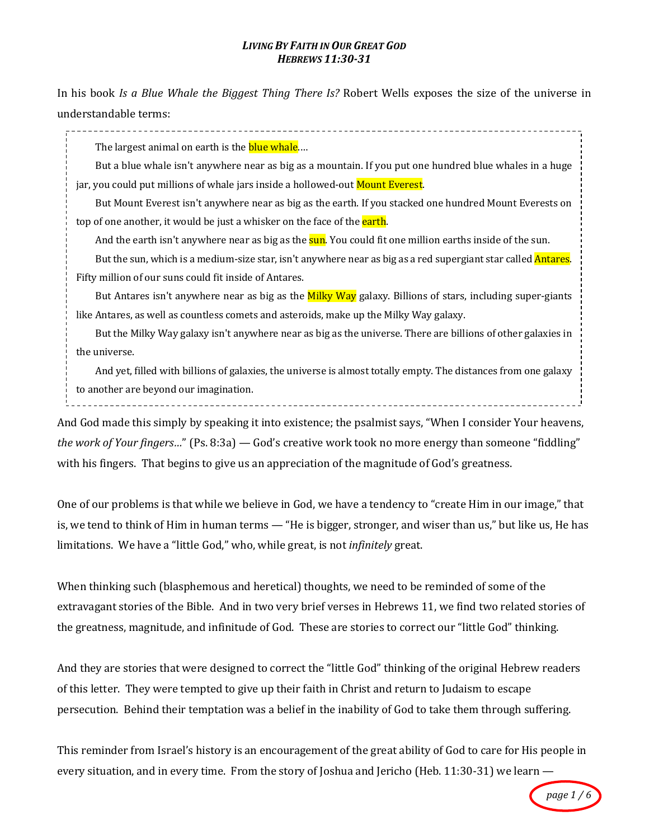#### **LIVING BY FAITH IN OUR GREAT GOD** *HEBREWS 11:30-31*

In his book *Is a Blue Whale the Biggest Thing There Is?* Robert Wells exposes the size of the universe in understandable terms:

. . . . . . . . . . . . . . . . . .

The largest animal on earth is the **blue whale....** 

But a blue whale isn't anywhere near as big as a mountain. If you put one hundred blue whales in a huge jar, you could put millions of whale jars inside a hollowed-out Mount Everest.

But Mount Everest isn't anywhere near as big as the earth. If you stacked one hundred Mount Everests on top of one another, it would be just a whisker on the face of the earth.

And the earth isn't anywhere near as big as the **sun**. You could fit one million earths inside of the sun.

But the sun, which is a medium-size star, isn't anywhere near as big as a red supergiant star called **Antares**. Fifty million of our suns could fit inside of Antares.

But Antares isn't anywhere near as big as the **Milky Way** galaxy. Billions of stars, including super-giants like Antares, as well as countless comets and asteroids, make up the Milky Way galaxy.

But the Milky Way galaxy isn't anywhere near as big as the universe. There are billions of other galaxies in the universe.

And yet, filled with billions of galaxies, the universe is almost totally empty. The distances from one galaxy to another are beyond our imagination.

And God made this simply by speaking it into existence; the psalmist says, "When I consider Your heavens, *the work of Your fingers...*" (Ps. 8:3a) — God's creative work took no more energy than someone "fiddling" with his fingers. That begins to give us an appreciation of the magnitude of God's greatness.

One of our problems is that while we believe in God, we have a tendency to "create Him in our image," that is, we tend to think of Him in human terms — "He is bigger, stronger, and wiser than us," but like us, He has limitations. We have a "little God," who, while great, is not *infinitely* great.

When thinking such (blasphemous and heretical) thoughts, we need to be reminded of some of the extravagant stories of the Bible. And in two very brief verses in Hebrews 11, we find two related stories of the greatness, magnitude, and infinitude of God. These are stories to correct our "little God" thinking.

And they are stories that were designed to correct the "little God" thinking of the original Hebrew readers of this letter. They were tempted to give up their faith in Christ and return to Judaism to escape persecution. Behind their temptation was a belief in the inability of God to take them through suffering.

This reminder from Israel's history is an encouragement of the great ability of God to care for His people in every situation, and in every time. From the story of Joshua and Jericho (Heb. 11:30-31) we learn  $-$ 

*page 1 / 6*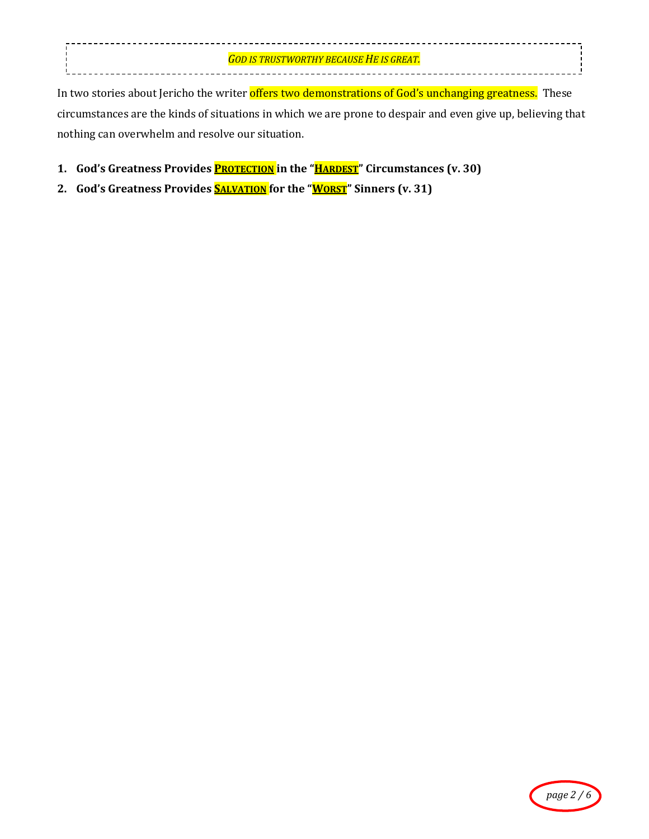*GOD IS TRUSTWORTHY BECAUSE HE IS GREAT.* ÷, 

In two stories about Jericho the writer offers two demonstrations of God's unchanging greatness. These circumstances are the kinds of situations in which we are prone to despair and even give up, believing that nothing can overwhelm and resolve our situation.

- **1.** God's Greatness Provides **PROTECTION** in the "**HARDEST**" Circumstances (v. 30)
- 2. **God's Greatness Provides SALVATION** for the "**WORST**" Sinners (v. 31)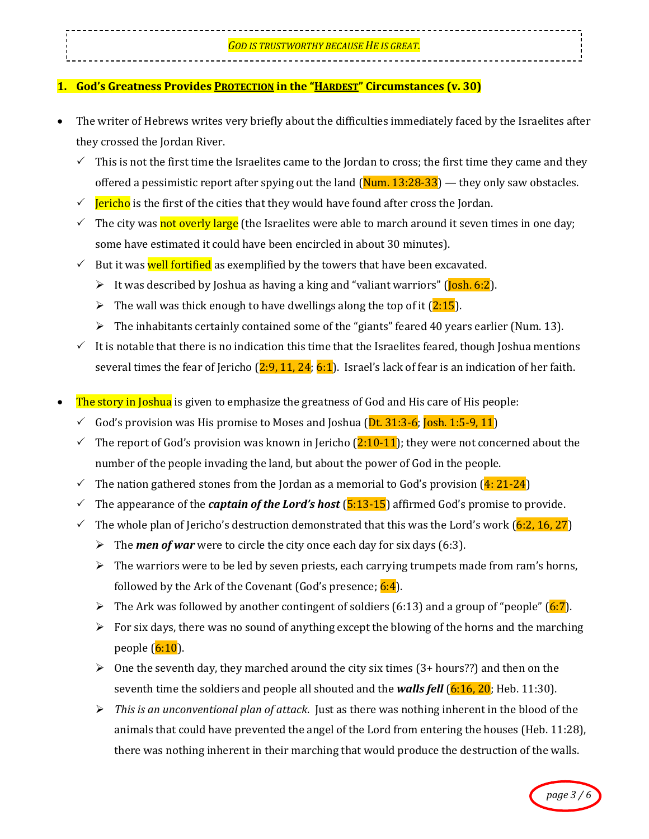# **1. God's Greatness Provides PROTECTION** in the "HARDEST" Circumstances (v. 30)

- The writer of Hebrews writes very briefly about the difficulties immediately faced by the Israelites after they crossed the Jordan River.
	- $\checkmark$  This is not the first time the Israelites came to the Jordan to cross; the first time they came and they offered a pessimistic report after spying out the land  $(Num. 13:28-33)$  — they only saw obstacles.
	- $\checkmark$  Jericho is the first of the cities that they would have found after cross the Jordan.
	- The city was not overly large (the Israelites were able to march around it seven times in one day; some have estimated it could have been encircled in about 30 minutes).
	- $\checkmark$  But it was well fortified as exemplified by the towers that have been excavated.
		- It was described by Joshua as having a king and "valiant warriors" ( $\overline{[losh. 6:2]}$ ).
		- If the wall was thick enough to have dwellings along the top of it  $(2:15)$ .
		- $\triangleright$  The inhabitants certainly contained some of the "giants" feared 40 years earlier (Num. 13).
	- It is notable that there is no indication this time that the Israelites feared, though Joshua mentions several times the fear of Jericho  $(2:9, 11, 24; 6:1)$ . Israel's lack of fear is an indication of her faith.
- **The story in Joshua** is given to emphasize the greatness of God and His care of His people:
	- $\checkmark$  God's provision was His promise to Moses and Joshua (Dt. 31:3-6; Josh. 1:5-9, 11)
	- The report of God's provision was known in Jericho  $(2:10-11)$ ; they were not concerned about the number of the people invading the land, but about the power of God in the people.
	- $\checkmark$  The nation gathered stones from the Jordan as a memorial to God's provision (4: 21-24)
	- The appearance of the *captain of the Lord's host* ( $\frac{5:13-15}$ ) affirmed God's promise to provide.
	- The whole plan of Jericho's destruction demonstrated that this was the Lord's work (6:2, 16, 27)
		- $\triangleright$  The *men of war* were to circle the city once each day for six days (6:3).
		- $\triangleright$  The warriors were to be led by seven priests, each carrying trumpets made from ram's horns, followed by the Ark of the Covenant (God's presence; 6:4).
		- The Ark was followed by another contingent of soldiers (6:13) and a group of "people" (6:7).
		- $\triangleright$  For six days, there was no sound of anything except the blowing of the horns and the marching people  $(6:10)$ .
		- $\triangleright$  One the seventh day, they marched around the city six times (3+ hours??) and then on the seventh time the soldiers and people all shouted and the **walls fell** (6:16, 20; Heb. 11:30).
		- $\triangleright$  *This is an unconventional plan of attack.* Just as there was nothing inherent in the blood of the animals that could have prevented the angel of the Lord from entering the houses (Heb.  $11:28$ ), there was nothing inherent in their marching that would produce the destruction of the walls.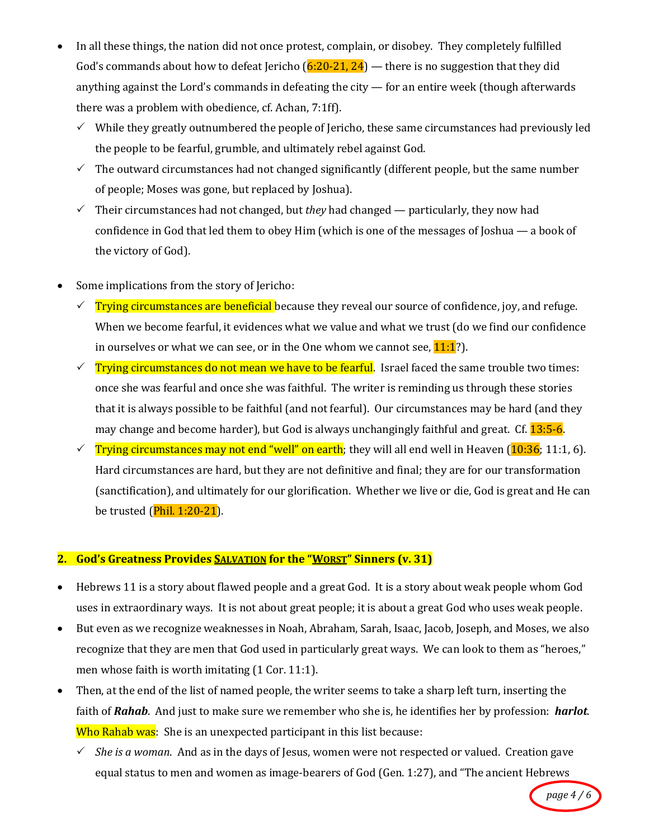- In all these things, the nation did not once protest, complain, or disobey. They completely fulfilled God's commands about how to defeat Jericho  $(6:20-21, 24)$  — there is no suggestion that they did anything against the Lord's commands in defeating the city  $-$  for an entire week (though afterwards there was a problem with obedience, cf. Achan, 7:1ff).
	- $\checkmark$  While they greatly outnumbered the people of Jericho, these same circumstances had previously led the people to be fearful, grumble, and ultimately rebel against God.
	- $\checkmark$  The outward circumstances had not changed significantly (different people, but the same number of people; Moses was gone, but replaced by Joshua).
	- $\checkmark$  Their circumstances had not changed, but *they* had changed particularly, they now had confidence in God that led them to obey Him (which is one of the messages of Joshua — a book of the victory of God).
- Some implications from the story of Jericho:
	- **Trying circumstances are beneficial because they reveal our source of confidence, joy, and refuge.** When we become fearful, it evidences what we value and what we trust (do we find our confidence in ourselves or what we can see, or in the One whom we cannot see,  $11:1?$ ).
	- $\checkmark$  Trying circumstances do not mean we have to be fearful. Israel faced the same trouble two times: once she was fearful and once she was faithful. The writer is reminding us through these stories that it is always possible to be faithful (and not fearful). Our circumstances may be hard (and they may change and become harder), but God is always unchangingly faithful and great. Cf. **13:5-6.**
	- $\checkmark$  Trying circumstances may not end "well" on earth; they will all end well in Heaven (10:36; 11:1, 6). Hard circumstances are hard, but they are not definitive and final; they are for our transformation (sanctification), and ultimately for our glorification. Whether we live or die, God is great and He can be trusted  $(Phi. 1:20-21)$ .

# **2. God's Greatness Provides SALVATION** for the "WORST" Sinners (v. 31)

- Hebrews 11 is a story about flawed people and a great God. It is a story about weak people whom God uses in extraordinary ways. It is not about great people; it is about a great God who uses weak people.
- But even as we recognize weaknesses in Noah, Abraham, Sarah, Isaac, Jacob, Joseph, and Moses, we also recognize that they are men that God used in particularly great ways. We can look to them as "heroes," men whose faith is worth imitating (1 Cor. 11:1).
- Then, at the end of the list of named people, the writer seems to take a sharp left turn, inserting the faith of *Rahab*. And just to make sure we remember who she is, he identifies her by profession: *harlot*. Who Rahab was: She is an unexpected participant in this list because:
	- $\checkmark$  *She is a woman*. And as in the days of Jesus, women were not respected or valued. Creation gave equal status to men and women as image-bearers of God (Gen. 1:27), and "The ancient Hebrews

*page 4 / 6*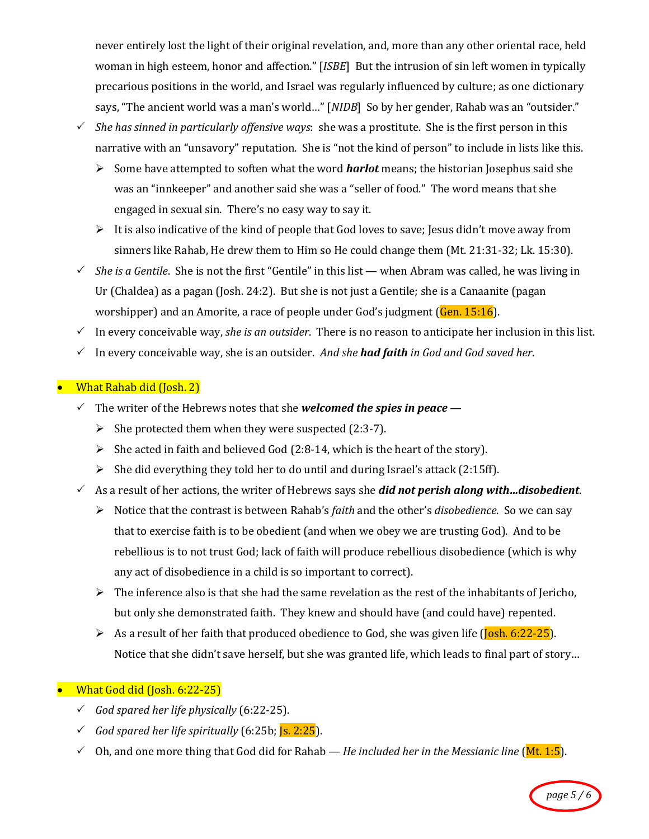never entirely lost the light of their original revelation, and, more than any other oriental race, held woman in high esteem, honor and affection." [*ISBE*] But the intrusion of sin left women in typically precarious positions in the world, and Israel was regularly influenced by culture; as one dictionary says, "The ancient world was a man's world..." [*NIDB*] So by her gender, Rahab was an "outsider."

- $\checkmark$  *She has sinned in particularly offensive ways*: she was a prostitute. She is the first person in this narrative with an "unsavory" reputation. She is "not the kind of person" to include in lists like this.
	- $\triangleright$  Some have attempted to soften what the word **harlot** means; the historian Josephus said she was an "innkeeper" and another said she was a "seller of food." The word means that she engaged in sexual sin. There's no easy way to say it.
	- It is also indicative of the kind of people that God loves to save; Jesus didn't move away from sinners like Rahab, He drew them to Him so He could change them (Mt. 21:31-32; Lk. 15:30).
- $\checkmark$  *She is a Gentile*. She is not the first "Gentile" in this list when Abram was called, he was living in Ur (Chaldea) as a pagan (Josh. 24:2). But she is not just a Gentile; she is a Canaanite (pagan worshipper) and an Amorite, a race of people under God's judgment  $(Gen. 15:16)$ .
- $\checkmark$  In every conceivable way, *she is an outsider*. There is no reason to anticipate her inclusion in this list.
- $\checkmark$  In every conceivable way, she is an outsider. And she **had faith** in God and God saved her.

### **What Rahab did (Josh. 2)**

- $\checkmark$  The writer of the Hebrews notes that she *welcomed the spies in peace*
	- $\triangleright$  She protected them when they were suspected (2:3-7).
	- $\triangleright$  She acted in faith and believed God (2:8-14, which is the heart of the story).
	- $\triangleright$  She did everything they told her to do until and during Israel's attack (2:15ff).
- $\checkmark$  As a result of her actions, the writer of Hebrews says she *did not perish along with...disobedient*.
	- > Notice that the contrast is between Rahab's *faith* and the other's *disobedience*. So we can say that to exercise faith is to be obedient (and when we obey we are trusting God). And to be rebellious is to not trust God; lack of faith will produce rebellious disobedience (which is why any act of disobedience in a child is so important to correct).
	- $\triangleright$  The inference also is that she had the same revelation as the rest of the inhabitants of Jericho, but only she demonstrated faith. They knew and should have (and could have) repented.
	- $\triangleright$  As a result of her faith that produced obedience to God, she was given life (Josh. 6:22-25). Notice that she didn't save herself, but she was granted life, which leads to final part of story...

## **• What God did (Josh. 6:22-25)**

- $\checkmark$  *God spared her life physically* (6:22-25).
- God spared her life spiritually (6:25b;  $\overline{s}$ . 2:25).
- $\checkmark$  Oh, and one more thing that God did for Rahab *He included her in the Messianic line* (Mt. 1:5).